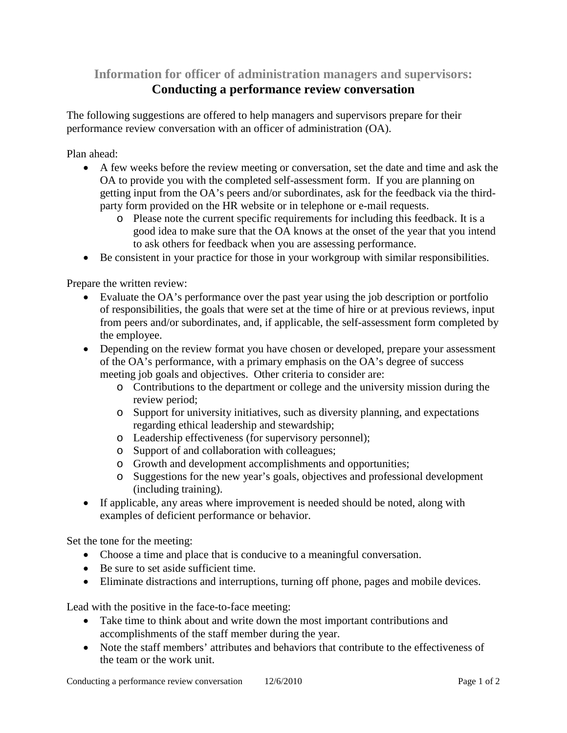**Information for officer of administration managers and supervisors:**

## **Conducting a performance review conversation**

The following suggestions are offered to help managers and supervisors prepare for their performance review conversation with an officer of administration (OA).

Plan ahead:

- A few weeks before the review meeting or conversation, set the date and time and ask the OA to provide you with the completed self-assessment form. If you are planning on getting input from the OA's peers and/or subordinates, ask for the feedback via the thirdparty form provided on the HR website or in telephone or e-mail requests.
	- o Please note the current specific requirements for including this feedback. It is a good idea to make sure that the OA knows at the onset of the year that you intend to ask others for feedback when you are assessing performance.
- Be consistent in your practice for those in your workgroup with similar responsibilities.

Prepare the written review:

- Evaluate the OA's performance over the past year using the job description or portfolio of responsibilities, the goals that were set at the time of hire or at previous reviews, input from peers and/or subordinates, and, if applicable, the self-assessment form completed by the employee.
- Depending on the review format you have chosen or developed, prepare your assessment of the OA's performance, with a primary emphasis on the OA's degree of success meeting job goals and objectives. Other criteria to consider are:
	- o Contributions to the department or college and the university mission during the review period;
	- o Support for university initiatives, such as diversity planning, and expectations regarding ethical leadership and stewardship;
	- o Leadership effectiveness (for supervisory personnel);
	- o Support of and collaboration with colleagues;
	- o Growth and development accomplishments and opportunities;
	- o Suggestions for the new year's goals, objectives and professional development (including training).
- If applicable, any areas where improvement is needed should be noted, along with examples of deficient performance or behavior.

Set the tone for the meeting:

- Choose a time and place that is conducive to a meaningful conversation.
- Be sure to set aside sufficient time.
- Eliminate distractions and interruptions, turning off phone, pages and mobile devices.

Lead with the positive in the face-to-face meeting:

- Take time to think about and write down the most important contributions and accomplishments of the staff member during the year.
- Note the staff members' attributes and behaviors that contribute to the effectiveness of the team or the work unit.